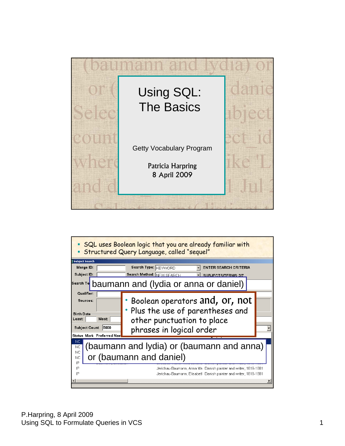

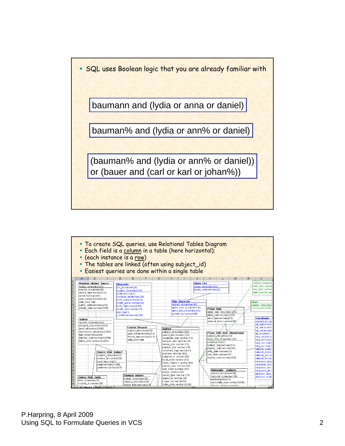SQL uses Boolean logic that you are already familiar with

baumann and (lydia or anna or daniel)

bauman% and (lydia or ann% or daniel)

(bauman% and (lydia or ann% or daniel)) or (bauer and (carl or karl or johan%))

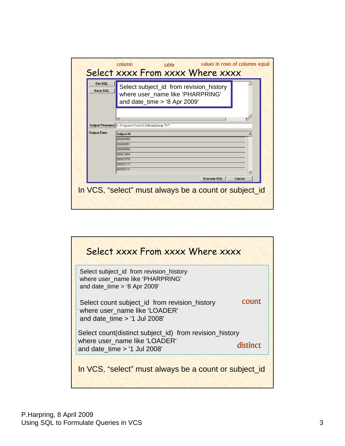| Get SQL<br>Save SQL | Select subject_id from revision_history<br>where user_name like 'PHARPRING'<br>and date time $>$ '8 Apr 2009' |
|---------------------|---------------------------------------------------------------------------------------------------------------|
|                     | $\left  \right $<br>Output Filename C:\Program Files\VCS46\aat\temp.TXT                                       |
| Output Data:        | <b>Subject ID</b><br>300003985<br>300008057                                                                   |
|                     | lannnggaa<br>800012855                                                                                        |
|                     | 800022755<br>knnn37173<br>300037181                                                                           |
|                     | <b>Execute SQL</b><br>Cancel                                                                                  |